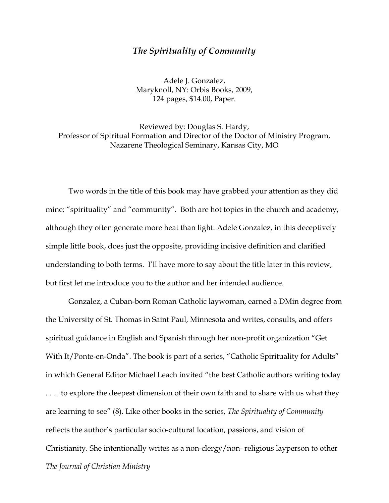## *The Spirituality of Community*

Adele J. Gonzalez, Maryknoll, NY: Orbis Books, 2009, 124 pages, \$14.00, Paper.

Reviewed by: Douglas S. Hardy, Professor of Spiritual Formation and Director of the Doctor of Ministry Program, Nazarene Theological Seminary, Kansas City, MO

Two words in the title of this book may have grabbed your attention as they did mine: "spirituality" and "community". Both are hot topics in the church and academy, although they often generate more heat than light. Adele Gonzalez, in this deceptively simple little book, does just the opposite, providing incisive definition and clarified understanding to both terms. I'll have more to say about the title later in this review, but first let me introduce you to the author and her intended audience.

*The Journal of Christian Ministry* Gonzalez, a Cuban-born Roman Catholic laywoman, earned a DMin degree from the University of St. Thomas in Saint Paul, Minnesota and writes, consults, and offers spiritual guidance in English and Spanish through her non-profit organization "Get With It/Ponte-en-Onda". The book is part of a series, "Catholic Spirituality for Adults" in which General Editor Michael Leach invited "the best Catholic authors writing today .... to explore the deepest dimension of their own faith and to share with us what they are learning to see" (8). Like other books in the series, *The Spirituality of Community* reflects the author's particular socio-cultural location, passions, and vision of Christianity. She intentionally writes as a non-clergy/non- religious layperson to other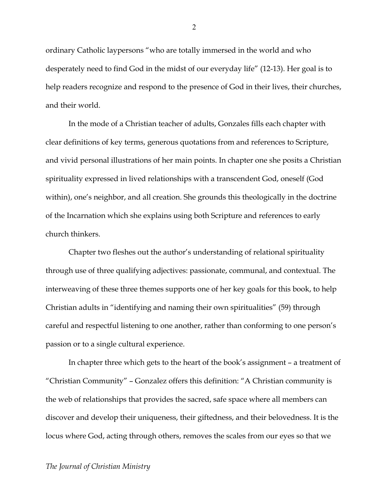ordinary Catholic laypersons "who are totally immersed in the world and who desperately need to find God in the midst of our everyday life" (12-13). Her goal is to help readers recognize and respond to the presence of God in their lives, their churches, and their world.

In the mode of a Christian teacher of adults, Gonzales fills each chapter with clear definitions of key terms, generous quotations from and references to Scripture, and vivid personal illustrations of her main points. In chapter one she posits a Christian spirituality expressed in lived relationships with a transcendent God, oneself (God within), one's neighbor, and all creation. She grounds this theologically in the doctrine of the Incarnation which she explains using both Scripture and references to early church thinkers.

Chapter two fleshes out the author's understanding of relational spirituality through use of three qualifying adjectives: passionate, communal, and contextual. The interweaving of these three themes supports one of her key goals for this book, to help Christian adults in "identifying and naming their own spiritualities" (59) through careful and respectful listening to one another, rather than conforming to one person's passion or to a single cultural experience.

In chapter three which gets to the heart of the book's assignment – a treatment of "Christian Community" – Gonzalez offers this definition: "A Christian community is the web of relationships that provides the sacred, safe space where all members can discover and develop their uniqueness, their giftedness, and their belovedness. It is the locus where God, acting through others, removes the scales from our eyes so that we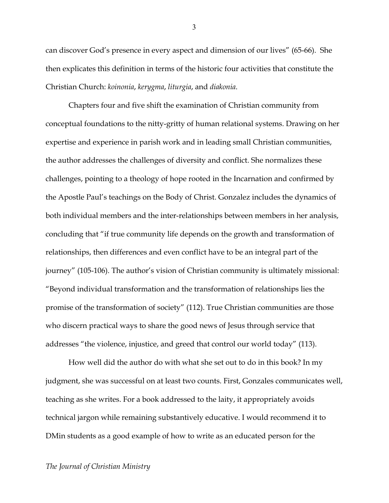can discover God's presence in every aspect and dimension of our lives" (65-66). She then explicates this definition in terms of the historic four activities that constitute the Christian Church: *koinonia*, *kerygma*, *liturgia*, and *diakonia*.

Chapters four and five shift the examination of Christian community from conceptual foundations to the nitty-gritty of human relational systems. Drawing on her expertise and experience in parish work and in leading small Christian communities, the author addresses the challenges of diversity and conflict. She normalizes these challenges, pointing to a theology of hope rooted in the Incarnation and confirmed by the Apostle Paul's teachings on the Body of Christ. Gonzalez includes the dynamics of both individual members and the inter-relationships between members in her analysis, concluding that "if true community life depends on the growth and transformation of relationships, then differences and even conflict have to be an integral part of the journey" (105-106). The author's vision of Christian community is ultimately missional: "Beyond individual transformation and the transformation of relationships lies the promise of the transformation of society" (112). True Christian communities are those who discern practical ways to share the good news of Jesus through service that addresses "the violence, injustice, and greed that control our world today" (113).

How well did the author do with what she set out to do in this book? In my judgment, she was successful on at least two counts. First, Gonzales communicates well, teaching as she writes. For a book addressed to the laity, it appropriately avoids technical jargon while remaining substantively educative. I would recommend it to DMin students as a good example of how to write as an educated person for the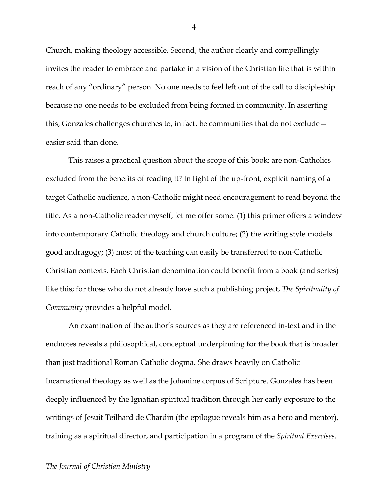Church, making theology accessible. Second, the author clearly and compellingly invites the reader to embrace and partake in a vision of the Christian life that is within reach of any "ordinary" person. No one needs to feel left out of the call to discipleship because no one needs to be excluded from being formed in community. In asserting this, Gonzales challenges churches to, in fact, be communities that do not exclude easier said than done.

This raises a practical question about the scope of this book: are non-Catholics excluded from the benefits of reading it? In light of the up-front, explicit naming of a target Catholic audience, a non-Catholic might need encouragement to read beyond the title. As a non-Catholic reader myself, let me offer some: (1) this primer offers a window into contemporary Catholic theology and church culture; (2) the writing style models good andragogy; (3) most of the teaching can easily be transferred to non-Catholic Christian contexts. Each Christian denomination could benefit from a book (and series) like this; for those who do not already have such a publishing project, *The Spirituality of Community* provides a helpful model.

An examination of the author's sources as they are referenced in-text and in the endnotes reveals a philosophical, conceptual underpinning for the book that is broader than just traditional Roman Catholic dogma. She draws heavily on Catholic Incarnational theology as well as the Johanine corpus of Scripture. Gonzales has been deeply influenced by the Ignatian spiritual tradition through her early exposure to the writings of Jesuit Teilhard de Chardin (the epilogue reveals him as a hero and mentor), training as a spiritual director, and participation in a program of the *Spiritual Exercises*.

4